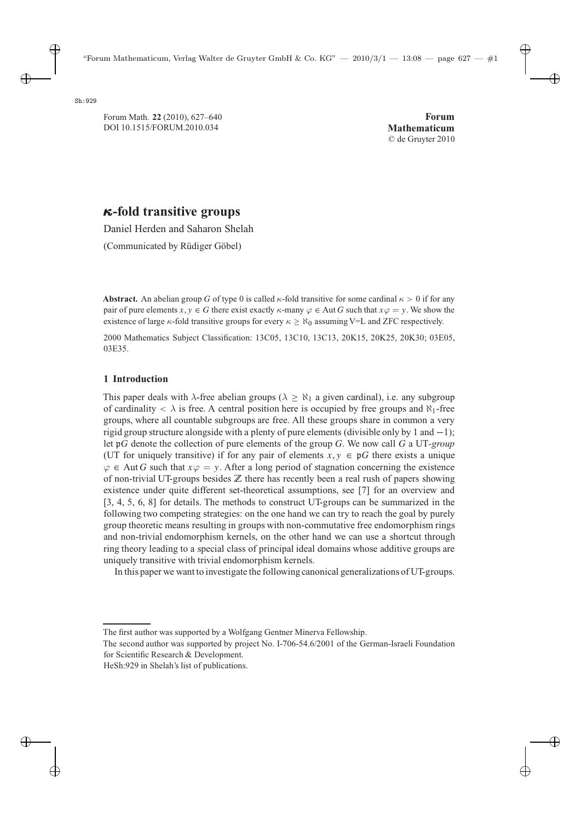# *κ***-fold transitive groups**

Daniel Herden and Saharon Shelah

(Communicated by Rüdiger Göbel)

**Abstract.** An abelian group G of type 0 is called  $\kappa$ -fold transitive for some cardinal  $\kappa > 0$  if for any pair of pure elements  $x, y \in G$  there exist exactly  $\kappa$ -many  $\varphi \in Aut G$  such that  $x\varphi = y$ . We show the existence of large  $\kappa$ -fold transitive groups for every  $\kappa > \aleph_0$  assuming V=L and ZFC respectively.

2000 Mathematics Subject Classification: 13C05, 13C10, 13C13, 20K15, 20K25, 20K30; 03E05, 03E35.

## **1 Introduction**

This paper deals with  $\lambda$ -free abelian groups ( $\lambda > \aleph_1$  a given cardinal), i.e. any subgroup of cardinality  $\langle \rangle$  is free. A central position here is occupied by free groups and  $\aleph_1$ -free groups, where all countable subgroups are free. All these groups share in common a very rigid group structure alongside with a plenty of pure elements (divisible only by 1 and  $-1$ ); let <sup>p</sup>G denote the collection of pure elements of the group G. We now call G a UT*-group* (UT for uniquely transitive) if for any pair of elements  $x, y \in \mathfrak{p}G$  there exists a unique  $\varphi \in$  Aut G such that  $x\varphi = y$ . After a long period of stagnation concerning the existence of non-trivial UT-groups besides **Z** there has recently been a real rush of papers showing existence under quite different set-theoretical assumptions, see [7] for an overview and [3, 4, 5, 6, 8] for details. The methods to construct UT-groups can be summarized in the following two competing strategies: on the one hand we can try to reach the goal by purely group theoretic means resulting in groups with non-commutative free endomorphism rings and non-trivial endomorphism kernels, on the other hand we can use a shortcut through ring theory leading to a special class of principal ideal domains whose additive groups are uniquely transitive with trivial endomorphism kernels.

In this paper we want to investigate the following canonical generalizations of UT-groups.

The first author was supported by a Wolfgang Gentner Minerva Fellowship.

The second author was supported by project No. I-706-54.6/2001 of the German-Israeli Foundation for Scientific Research & Development.

HeSh:929 in Shelah's list of publications.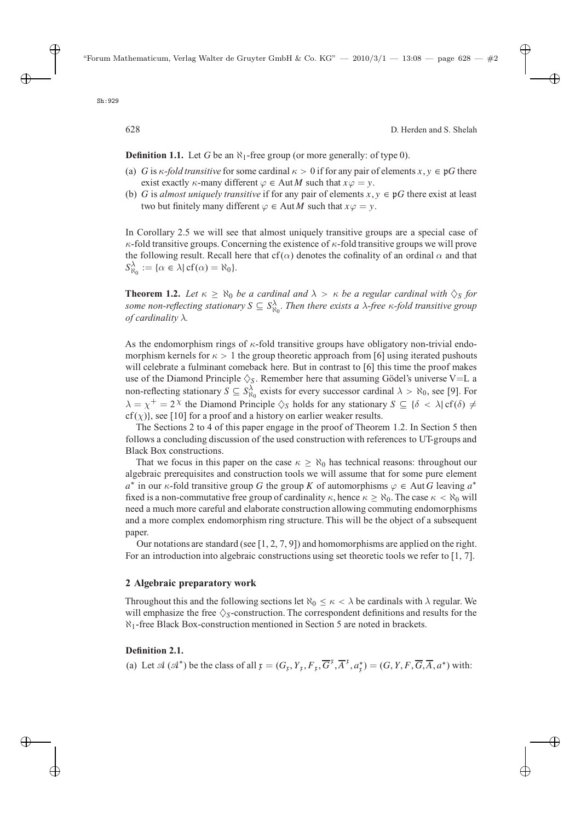**Definition 1.1.** Let G be an  $\aleph_1$ -free group (or more generally: of type 0).

- (a) G is  $\kappa$ -fold transitive for some cardinal  $\kappa > 0$  if for any pair of elements  $x, y \in \mathfrak{p}G$  there exist exactly  $\kappa$ -many different  $\varphi \in \text{Aut } M$  such that  $x\varphi = y$ .
- (b) G is *almost uniquely transitive* if for any pair of elements  $x, y \in \mathfrak{p}G$  there exist at least two but finitely many different  $\varphi \in \text{Aut } M$  such that  $x\varphi = y$ .

In Corollary 2.5 we will see that almost uniquely transitive groups are a special case of  $\kappa$ -fold transitive groups. Concerning the existence of  $\kappa$ -fold transitive groups we will prove the following result. Recall here that cf( $\alpha$ ) denotes the cofinality of an ordinal  $\alpha$  and that  $S^{\lambda}_{\aleph_0} := {\alpha \in \lambda | \text{cf}(\alpha) = \aleph_0}.$ 

**Theorem 1.2.** Let  $\kappa \ge \aleph_0$  be a cardinal and  $\lambda > \kappa$  be a regular cardinal with  $\lozenge_S$  for some non-reflecting stationary  $S \subseteq S^{\lambda}_{\aleph_0}$ . Then there exists a  $\lambda$ -free  $\kappa$ -fold transitive group<br>of cardinality  $\lambda$ *of cardinality* λ*.*

As the endomorphism rings of  $\kappa$ -fold transitive groups have obligatory non-trivial endomorphism kernels for  $\kappa > 1$  the group theoretic approach from [6] using iterated pushouts will celebrate a fulminant comeback here. But in contrast to [6] this time the proof makes use of the Diamond Principle  $\Diamond$ s. Remember here that assuming Gödel's universe V=L a non-reflecting stationary  $S \subseteq S_{\alpha_0}^{\lambda_0}$  exists for every successor cardinal  $\lambda > \aleph_0$ , see [9]. For  $\lambda = \lambda^+ = 2\lambda^+$  the Diamond Bringiple  $\triangle$ , holds for any stationary  $S \subseteq (\lambda > \lambda)$  of  $(\lambda) \neq$  $\lambda = \chi^+ = 2^{\chi}$  the Diamond Principle  $\Diamond_S$  holds for any stationary  $S \subseteq {\delta < \lambda}$  cf( $\delta$ )  $\neq$ cf(x), see [10] for a proof and a history on earlier weaker results.

The Sections 2 to 4 of this paper engage in the proof of Theorem 1.2. In Section 5 then follows a concluding discussion of the used construction with references to UT-groups and Black Box constructions.

That we focus in this paper on the case  $\kappa \ge \aleph_0$  has technical reasons: throughout our algebraic prerequisites and construction tools we will assume that for some pure element  $a^*$  in our  $\kappa$ -fold transitive group G the group K of automorphisms  $\varphi \in$  Aut G leaving  $a^*$ fixed is a non-commutative free group of cardinality  $\kappa$ , hence  $\kappa > \aleph_0$ . The case  $\kappa < \aleph_0$  will need a much more careful and elaborate construction allowing commuting endomorphisms and a more complex endomorphism ring structure. This will be the object of a subsequent paper.

Our notations are standard (see  $[1, 2, 7, 9]$ ) and homomorphisms are applied on the right. For an introduction into algebraic constructions using set theoretic tools we refer to [1, 7].

#### **2 Algebraic preparatory work**

Throughout this and the following sections let  $\aleph_0 \leq \kappa < \lambda$  be cardinals with  $\lambda$  regular. We will emphasize the free  $\Diamond$ <sub>S</sub>-construction. The correspondent definitions and results for the  $\aleph_1$ -free Black Box-construction mentioned in Section 5 are noted in brackets.

#### **Definition 2.1.**

(a) Let  $\mathcal{A}(\mathcal{A}^*)$  be the class of all  $\mathfrak{x} = (G_{\mathfrak{x}}, Y_{\mathfrak{x}}, F_{\mathfrak{x}}, \overline{G}^{\mathfrak{x}}, \overline{A}^{\mathfrak{x}}, a_{\mathfrak{x}}^*) = (G, Y, F, \overline{G}, \overline{A}, a^*)$  with: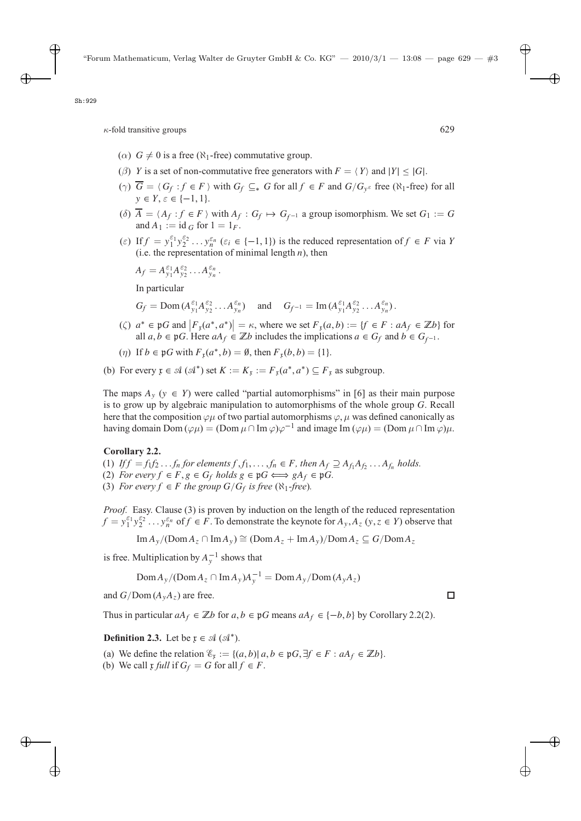- ( $\alpha$ )  $G \neq 0$  is a free ( $\aleph_1$ -free) commutative group.
- (β) Y is a set of non-commutative free generators with  $F = \langle Y \rangle$  and  $|Y| \le |G|$ .
- ( $\gamma$ )  $\overline{G} = \langle G_f : f \in F \rangle$  with  $G_f \subseteq_* G$  for all  $f \in F$  and  $G/G_y \in$  free ( $\aleph_1$ -free) for all  $y \in Y \in \{ -1, 1 \}$  $y \in Y, \varepsilon \in \{-1, 1\}.$
- (δ)  $A = \langle A_f : f \in F \rangle$  with  $A_f : G_f \mapsto G_{f^{-1}}$  a group isomorphism. We set  $G_1 := G$ <br>and  $A_1 := id \subset \text{for } 1 = 1_F$ and  $A_1 := id_G$  for  $1 = 1_F$ .
- (*ε*) If  $f = y_1^{\varepsilon_1} y_2^{\varepsilon_2} \dots y_n^{\varepsilon_n}$  ( $\varepsilon_i \in \{-1, 1\}$ ) is the reduced representation of  $f \in F$  via Y (i.e. the representation of minimal length *n*) then (i.e. the representation of minimal length  $n$ ), then

$$
A_f = A_{y_1}^{\varepsilon_1} A_{y_2}^{\varepsilon_2} \dots A_{y_n}^{\varepsilon_n}.
$$

In particular

- $G_f = \text{Dom}(A_{y_1}^{\varepsilon_1} A_{y_2}^{\varepsilon_2} ... A_{y_n}^{\varepsilon_n})$  and  $G_{f^{-1}} = \text{Im}(A_{y_1}^{\varepsilon_1} A_{y_2}^{\varepsilon_2} ... A_{y_n}^{\varepsilon_n}).$
- ( $\zeta$ )  $a^* \in \mathfrak{p}G$  and  $\left| F_x(a^*, a^*) \right| = \kappa$ , where we set  $F_x(a, b) := \{ f \in F : aA_f \in \mathbb{Z}b \}$  for all  $a, b \in \mathfrak{p}G$  Here  $aA_f \in \mathbb{Z}b$  includes the implications  $a \in G$  and  $b \in G$ .  $a \in \text{PO}$  and  $\left[ \begin{array}{c} \n r_x(a', a') \right] = b$ , where we set  $r_x(a, b) := \emptyset \in T$  .  $an f \in \mathbb{Z}$  and  $a, b \in \mathbb{G}_f$  and  $b \in \mathbb{G}_{f^{-1}}$ .
- (*η*) If  $b \in \mathfrak{p}G$  with  $F_{\mathfrak{r}}(a^*, b) = \emptyset$ , then  $F_{\mathfrak{r}}(b, b) = \{1\}$ .
- (b) For every  $\mathfrak{x} \in \mathcal{A}(\mathcal{A}^*)$  set  $K := K_{\mathfrak{x}} := F_{\mathfrak{x}}(a^*, a^*) \subseteq F_{\mathfrak{x}}$  as subgroup.

The maps  $A_y$  ( $y \in Y$ ) were called "partial automorphisms" in [6] as their main purpose is to grow up by algebraic manipulation to automorphisms of the whole group G. Recall here that the composition  $\varphi\mu$  of two partial automorphisms  $\varphi$ ,  $\mu$  was defined canonically as having domain Dom ( $\varphi \mu$ ) = (Dom  $\mu \cap \text{Im } \varphi$ ) $\varphi^{-1}$  and image Im ( $\varphi \mu$ ) = (Dom  $\mu \cap \text{Im } \varphi$ ) $\mu$ .

#### **Corollary 2.2.**

- (1) *If*  $f = f_1 f_2 \dots f_n$  *for elements*  $f, f_1, \dots, f_n \in F$ *, then*  $A_f \supseteq A_{f_1} A_{f_2} \dots A_{f_n}$  *holds.*
- (2) *For every*  $f \in F$ ,  $g \in G_f$  *holds*  $g \in \mathfrak{p}G \Longleftrightarrow gA_f \in \mathfrak{p}G$ .
- (3) *For every*  $f \in F$  *the group*  $G/G_f$  *is free* ( $\aleph_1$ *-free*)*.*

*Proof.* Easy. Clause (3) is proven by induction on the length of the reduced representation  $f = y_1^{\epsilon_1} y_2^{\epsilon_2} \dots y_n^{\epsilon_n}$  of  $f \in F$ . To demonstrate the keynote for  $A_y, A_z$  (y,  $z \in Y$ ) observe that

 $\operatorname{Im} A_{\gamma}/(\operatorname{Dom} A_{z} \cap \operatorname{Im} A_{\gamma}) \cong (\operatorname{Dom} A_{z} + \operatorname{Im} A_{\gamma})/\operatorname{Dom} A_{z} \subseteq G/\operatorname{Dom} A_{z}$ 

is free. Multiplication by  $A_y^{-1}$  shows that

 $\text{Dom} A_y/(\text{Dom} A_z \cap \text{Im} A_y)A_y^{-1} = \text{Dom} A_y/\text{Dom} (A_y A_z)$ 

and  $G/Dom(A_yA_z)$  are free.

Thus in particular  $aA_f \in \mathbb{Z}$ *b* for  $a, b \in \mathfrak{p}$ *G* means  $aA_f \in \{-b, b\}$  by Corollary 2.2(2).

**Definition 2.3.** Let be  $x \in \mathcal{A}(\mathcal{A}^*)$ .

- (a) We define the relation  $\mathscr{E}_r := \{(a, b) | a, b \in \mathfrak{p}G, \exists f \in F : aA_f \in \mathbb{Z}b\}.$
- (b) We call  $\mathfrak x$  *full* if  $G_f = G$  for all  $f \in F$ .

П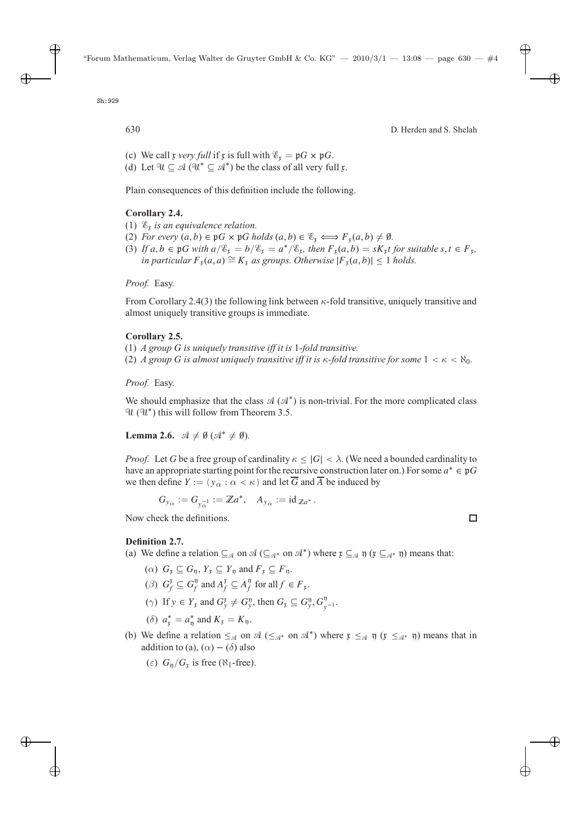- (c) We call x *very full* if x is full with  $\mathscr{E}_r = pG \times pG$ .
- (d) Let  $\mathcal{U} \subseteq \mathcal{A}$  ( $\mathcal{U}^* \subseteq \mathcal{A}^*$ ) be the class of all very full  $\mathfrak{x}$ .

Plain consequences of this definition include the following.

## **Corollary 2.4.**

- (1)  $\mathscr{E}_{r}$  *is an equivalence relation.*
- (2) *For every*  $(a, b) \in \mathfrak{p}G \times \mathfrak{p}G$  *holds*  $(a, b) \in \mathcal{E}_x \Longleftrightarrow F_x(a, b) \neq \emptyset$ *.*
- (3) If  $a, b \in \mathfrak{p}G$  with  $a/\mathscr{E}_x = b/\mathscr{E}_x = a^*/\mathscr{E}_x$ , then  $F_x(a, b) = sK_x t$  for suitable  $s, t \in F_x$ , *in particular*  $F_x(a, a) \cong K_x$  *as groups. Otherwise*  $|F_x(a, b)| \le 1$  *holds.*

*Proof.* Easy.

From Corollary 2.4(3) the following link between  $\kappa$ -fold transitive, uniquely transitive and almost uniquely transitive groups is immediate.

## **Corollary 2.5.**

- (1) *A group* G *is uniquely transitive iff it is* <sup>1</sup>*-fold transitive.*
- (2) *A group G is almost uniquely transitive iff it is*  $\kappa$ *-fold transitive for some*  $1 < \kappa < \aleph_0$ .

## *Proof.* Easy.

We should emphasize that the class  $\mathcal{A}(\mathcal{A}^*)$  is non-trivial. For the more complicated class  $\mathcal{U}(\mathcal{U}^*)$  this will follow from Theorem 3.5.

**Lemma 2.6.**  $\mathcal{A} \neq \emptyset$  ( $\mathcal{A}^* \neq \emptyset$ ).

*Proof.* Let G be a free group of cardinality  $\kappa \leq |G| < \lambda$ . (We need a bounded cardinality to have an appropriate starting point for the recursive construction later on.) For some  $a^* \in \mathfrak{p}G$ we then define  $Y := \langle y_{\alpha} : \alpha < \kappa \rangle$  and let  $\overline{G}$  and  $\overline{A}$  be induced by

$$
G_{y_{\alpha}} := G_{y_{\alpha}^{-1}} := \mathbb{Z}a^*, \quad A_{y_{\alpha}} := id_{\mathbb{Z}a^*}.
$$

Now check the definitions.

## **Definition 2.7.**

(a) We define a relation  $\subseteq_{\mathcal{A}}$  on  $\mathcal{A} \left( \subseteq_{\mathcal{A}^*} \mathcal{A} \right)$  where  $\mathfrak{x} \subseteq_{\mathcal{A}} \mathfrak{y}$  ( $\mathfrak{x} \subseteq_{\mathcal{A}^*} \mathfrak{y}$ ) means that:

- ( $\alpha$ )  $G_x \subseteq G_p$ ,  $Y_x \subseteq Y_p$  and  $F_x \subseteq F_p$ .
- (*β*)  $G_f^{\mathfrak{r}} \subseteq G_f^{\mathfrak{y}}$  and  $A_f^{\mathfrak{r}} \subseteq A_f^{\mathfrak{y}}$  for all  $f \in F_{\mathfrak{r}}$ .
- ( $\gamma$ ) If  $y \in Y_x$  and  $G_y^x \neq G_y^0$ , then  $G_y \subseteq G_y^0, G_{y^{-1}}^0$ .
- (δ)  $a_{\mathfrak{x}}^* = a_{\mathfrak{y}}^*$  and  $K_{\mathfrak{x}} = K_{\mathfrak{y}}$ .
- (b) We define a relation  $\leq_{\mathcal{A}}$  on  $\mathcal{A} \leq_{\mathcal{A}^*}$  on  $\mathcal{A}^*$ ) where  $\mathfrak{x} \leq_{\mathcal{A}} \mathfrak{y}$  ( $\mathfrak{x} \leq_{\mathcal{A}^*} \mathfrak{y}$ ) means that in addition to (a),  $(\alpha) - (\delta)$  also

$$
(\varepsilon) Gη/Gτ \text{ is free } (\aleph_1\text{-free}).
$$

 $\Box$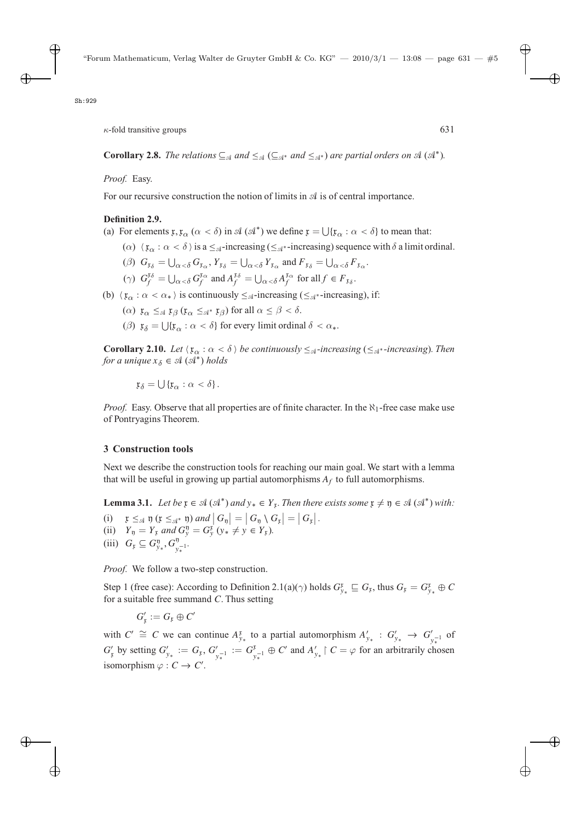**Corollary 2.8.** *The relations*  $\subseteq$ <sub>A</sub> *and*  $\le$ <sub>A</sub> $\subseteq$ <sub>A</sub><sup>\*</sup> *and*  $\le$ <sub>A</sub><sup>\*</sup>) *are partial orders on* A (A<sup>\*</sup>).

*Proof.* Easy.

For our recursive construction the notion of limits in  $A$  is of central importance.

### **Definition 2.9.**

- (a) For elements  $x, x_{\alpha}$  ( $\alpha < \delta$ ) in  $\mathcal{A}(\mathcal{A}^*)$  we define  $x = \bigcup \{x_{\alpha} : \alpha < \delta\}$  to mean that:
	- ( $\alpha$ )  $\langle \mathfrak{x}_{\alpha} : \alpha < \delta \rangle$  is a  $\leq_{\mathfrak{A}}$ -increasing ( $\leq_{\mathfrak{A}}$ <sup>\*</sup>-increasing) sequence with  $\delta$  a limit ordinal.
	- (*β*)  $G_{\mathfrak{x}_{\delta}} = \bigcup_{\alpha < \delta} G_{\mathfrak{x}_{\alpha}}, Y_{\mathfrak{x}_{\delta}} = \bigcup_{\alpha < \delta} Y_{\mathfrak{x}_{\alpha}}$  and  $F_{\mathfrak{x}_{\delta}} = \bigcup_{\alpha < \delta} F_{\mathfrak{x}_{\alpha}}$ .
	- ( $\gamma$ )  $G_f^{t\delta} = \bigcup_{\alpha < \delta} G_f^{t\alpha}$  and  $A_f^{t\delta} = \bigcup_{\alpha < \delta} A_f^{t\alpha}$  for all  $f \in F_{t\delta}$ .
- (b)  $\langle \mathfrak{x}_{\alpha} : \alpha < \alpha_* \rangle$  is continuously  $\leq_{\mathcal{A}}$ -increasing ( $\leq_{\mathcal{A}}$ <sup>\*</sup>-increasing), if:
	- ( $\alpha$ )  $\mathfrak{x}_{\alpha} \leq_{\mathfrak{A}} \mathfrak{x}_{\beta}$  ( $\mathfrak{x}_{\alpha} \leq_{\mathfrak{A}^*} \mathfrak{x}_{\beta}$ ) for all  $\alpha \leq \beta < \delta$ .
	- (*β*)  $x_{\delta} = \bigcup \{x_{\alpha} : \alpha < \delta\}$  for every limit ordinal  $\delta < \alpha_*$ .

**Corollary 2.10.** Let  $\langle x_{\alpha} : \alpha < \delta \rangle$  be continuously  $\leq_{\mathcal{A}}$ -increasing ( $\leq_{\mathcal{A}}$ \*-increasing). Then *for a unique*  $x_{\delta} \in \mathcal{A}(\mathcal{A}^*)$  *holds* 

 $x_{\delta} = \bigcup \{x_{\alpha} : \alpha < \delta\}.$ 

*Proof.* Easy. Observe that all properties are of finite character. In the  $\aleph_1$ -free case make use of Pontryagins Theorem.

### **3 Construction tools**

Next we describe the construction tools for reaching our main goal. We start with a lemma that will be useful in growing up partial automorphisms  $A_f$  to full automorphisms.

**Lemma 3.1.** *Let be*  $\mathfrak{x} \in \mathcal{A}(\mathcal{A}^*)$  *and*  $\mathfrak{y}_* \in Y_\mathfrak{x}$ *. Then there exists some*  $\mathfrak{x} \neq \mathfrak{y} \in \mathcal{A}(\mathcal{A}^*)$  *with:*<br>(i)  $\mathfrak{x} \leq_{\mathcal{A}} \mathfrak{y}$  ( $\mathfrak{x} \leq_{\mathcal{A}^*} \mathfrak{y}$ ) *and*  $|G_n| = |G_n \setminus$ 

(i)  $x \leq_{\mathcal{A}} y$  ( $x \leq_{\mathcal{A}^*} y$ ) and  $|G_y| = |G_y \setminus G_x| = |G_x|$ .<br>
(ii)  $Y = Y$  and  $G^y = G^x$  ( $y \neq y \in Y$ ) (i)  $Y \leq_{\mathcal{A}} \mathfrak{y}$  ( $Y \leq_{\mathcal{A}}^* \mathfrak{y}$ *) and*  $|\mathcal{G}_{\mathfrak{y}}| = |\mathcal{G}_{\mathfrak{y}} \setminus \mathcal{G}|$ <br>
(ii)  $Y_{\mathfrak{y}} = Y_{\mathfrak{x}}$  and  $G_{\mathfrak{y}}^{\mathfrak{y}} = G_{\mathfrak{y}}^{\mathfrak{x}}$  ( $y_* \neq y \in Y_{\mathfrak{x}}$ ).<br>
(iii)  $G \subset G^{\mathfrak{y}}$   $G^{\mathfrak{y}}$ (iii)  $G_{\mathfrak{x}} \subseteq G_{\mathfrak{y}_*}^{\mathfrak{y}}, G_{\mathfrak{y}_*}^{\mathfrak{y}}.$ 

*Proof.* We follow a two-step construction.

Step 1 (free case): According to Definition 2.1(a)( $\gamma$ ) holds  $G_{y_*}^r \sqsubseteq G_r$ , thus  $G_r = G_{y_*}^r \oplus C$  for a suitable free summand C. Thus setting for a suitable free summand C. Thus setting

$$
G'_{\mathfrak{x}}:=G_{\mathfrak{x}}\oplus C'
$$

with  $C' \cong C$  we can continue  $A_{y_*}^r$  to a partial automorphism  $A'_{y_*} : G'_{y_*} \to G'_{y_*}$  of  $y_*^{-1}$  $G'_{\mathfrak{y}}$  by setting  $G'_{\mathfrak{y}_*} := G_{\mathfrak{y}_*}$ ,  $G'_{\mathfrak{y}_*^{-1}} := G_{\mathfrak{y}_*}^{\mathfrak{x}} \oplus C'$  and  $A'_{\mathfrak{y}_*} \upharpoonright C = \varphi$  for an arbitrarily chosen isomorphism  $\varphi : G \to C'$ isomorphism  $\varphi : C \to C'$ .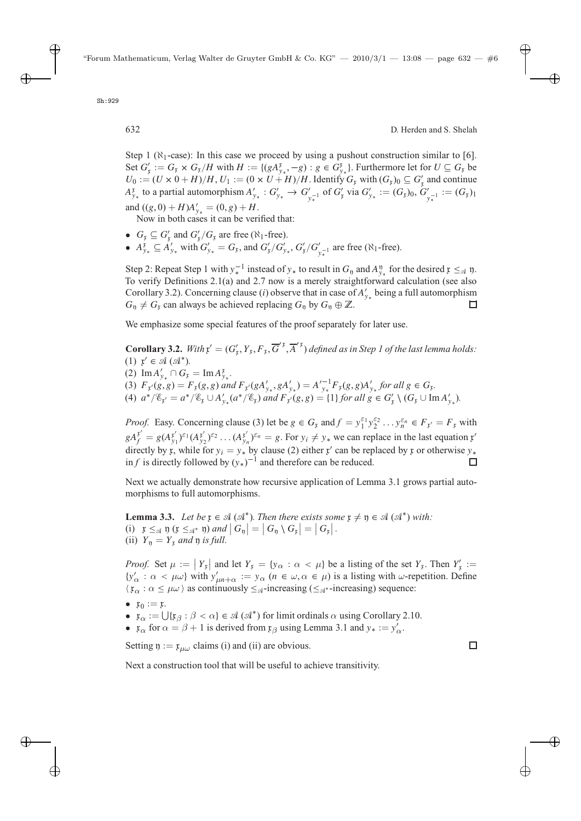Sh:929

Step 1 ( $\aleph_1$ -case): In this case we proceed by using a pushout construction similar to [6]. Set  $G'_k := G_k \times G_k/H$  with  $H := \{(gA_{y*}^k, -g) : g \in G_{y*}^k\}$ . Furthermore let for  $U \subseteq G_k$  be  $U_k \cdot - (U \times 0 + H)/H$   $U_k \cdot - (0 \times U + H)/H$  Identify  $G$  with  $(G_k) \circ \subseteq G'$  and continue  $U_0 := (U \times 0 + H)/H, U_1 := (0 \times U + H)/H$ . Identify  $G_k$  with  $(G_k)_0 \subseteq G'_k$  and continue  $A^k$  to a partial automorphism  $A' \cdot G' \to G'$  of  $G'$  via  $G' \to (G_k)_0$  $A_{y_*}^{\mathfrak{p}}$  to a partial automorphism  $A'_{y_*}$  :  $G'_{y_*} \to G'_{y_*}$  of  $G'_{\mathfrak{p}}$  via  $G'_{y_*} := (G_{\mathfrak{p}})_0$ ,  $G'_{y_*}$  :  $=(G_{\mathfrak{p}})_1$ <br>and  $((a, 0) + H)^{A'} = (0, a) + H$ and  $((g, 0) + H)A'_{y_*} = (0, g) + H$ .<br>Now in both cases it can be ver

Now in both cases it can be verified that:

- $G_{\mathfrak{x}} \subseteq G'_{\mathfrak{x}}$  and  $G'_{\mathfrak{x}}/G_{\mathfrak{x}}$  are free ( $\aleph_1$ -free).<br>•  $A^{\mathfrak{x}} \subseteq A'$ , with  $G' = G$ , and  $G'/G'$ .
- $A_{y_*}^{\mathfrak{p}} \subseteq A'_{y_*}$  with  $G'_{y_*} = G_{\mathfrak{p}}$ , and  $G'_{\mathfrak{p}}/G'_{y_*}$ ,  $G'_{\mathfrak{p}}/G'_{y_*}$  are free ( $\aleph_1$ -free).

Step 2: Repeat Step 1 with  $y_*^{-1}$  instead of  $y_*$  to result in  $G_y$  and  $A_y^y$  for the desired  $x \leq_{\alpha} y$ .<br>To verify Definitions 2.1(a) and 2.7 now is a merely straightforward calculation (see also To verify Definitions 2.1(a) and 2.7 now is a merely straightforward calculation (see also Corollary 3.2). Concerning clause (i) observe that in case of  $A'_{y*}$  being a full automorphism  $G_v \neq G_v$  can always be achieved replacing  $G_v$  by  $G_v \oplus \mathbb{Z}$  $G_n \neq G_r$  can always be achieved replacing  $G_n$  by  $G_n \oplus \mathbb{Z}$ .

We emphasize some special features of the proof separately for later use.

**Corollary 3.2.** *With*  $\mathbf{x}' = (G'_{\mathbf{x}}, Y_{\mathbf{x}}, F_{\mathbf{x}}, \overline{G}'^{\mathbf{x}}, \overline{A}'^{\mathbf{x}})$  *defined as in Step 1 of the last lemma holds:*<br>(1)  $\mathbf{x}' \in \mathcal{A}$  ( $\mathcal{A}^*$ ) (1)  $r' \in \mathcal{A}(\mathcal{A}^*)$ . (2)  $\text{Im} A'_{y_*} \cap G_x = \text{Im} A_y^x$ <br>(3)  $F_g(g, g) = F_g(g, g)$ x<br>y∗∙<br>an (3)  $F_Y(g, g) = F_X(g, g)$  and  $F_Y(gA'_{y*}, gA'_{y*}) = A'^{-1}_{y*}F_Y(g, g)A'_{y*}$  for all  $g \in G_X$ .<br>
(4)  $a^*/\mathcal{E} = a^*/\mathcal{E} + 4'$  ( $a^*/\mathcal{E}$ ) and  $F_Y(g, g) = 11$  for all  $g \in G' \setminus G$ . (4)  $a^*/\mathscr{E}_{x'} = a^*/\mathscr{E}_{x} \cup A'_{y*}(a^*/\mathscr{E}_{x})$  *and*  $F_{x'}(g,g) = \{1\}$  *for all*  $g \in G'_{x} \setminus (G_x \cup \text{Im } A'_{y*}).$ 

*Proof.* Easy. Concerning clause (3) let be  $g \in G_x$  and  $f = y_1^{\varepsilon_1} y_2^{\varepsilon_2} \dots y_n^{\varepsilon_n} \in F_{x'} = F_x$  with  $gA_f^{x'} = g(A_{y_1}^{x'})^{\epsilon_1}(A_{y_2}^{x'})^{\epsilon_2} \dots (A_{y_n}^{x'})^{\epsilon_n} = g$ . For  $y_i \neq y_*$  we can replace in the last equation x directly by x, while for  $y_i = y_i$ , by clouse (2) either x' can be replaced by x or otherwise y directly by x, while for  $y_i = y_*$  by clause (2) either x' can be replaced by x or otherwise  $y_*$ <br>in f is directly followed by  $(y_*)^{-1}$  and therefore can be reduced in *f* is directly followed by  $(y_*)^{-1}$  and therefore can be reduced.

Next we actually demonstrate how recursive application of Lemma 3.1 grows partial automorphisms to full automorphisms.

**Lemma 3.3.** *Let be*  $\mathfrak{x} \in \mathcal{A}(\mathcal{A}^*)$ *. Then there exists some*  $\mathfrak{x} \neq \mathfrak{y} \in \mathcal{A}(\mathcal{A}^*)$  *with:* (i)  $\mathfrak{x} \leq_{\mathfrak{A}} \mathfrak{y}$  ( $\mathfrak{x} \leq_{\mathfrak{A}^*} \mathfrak{y}$ ) and  $|G_{\mathfrak{y}}| = |G_{\mathfrak{y}} \setminus G_{\mathfrak{x}}| = |G_{\mathfrak{x}}|.$ <br>(ii)  $\mathfrak{y} = \mathfrak{y}$  and  $\mathfrak{y}$  is full (ii)  $Y_{\mathfrak{y}} = Y_{\mathfrak{x}}$  *and*  $\mathfrak{y}$  *is full.* 

*Proof.* Set  $\mu := |Y_x|$  and let  $Y_x = \{y_\alpha : \alpha < \mu\}$  be a listing of the set  $Y_x$ . Then  $Y'_x := \{y' \mid x \in \mathbb{R}^d : \alpha \in \mathbb{R}^d : \alpha \in \mathbb{R}^d : \alpha \in \mathbb{R}^d : \alpha \in \mathbb{R}^d\}$  ${y'_{\alpha}: \alpha < \mu\omega}$  with  $y'_{\mu n+\alpha} := y_{\alpha} (n \in \omega, \alpha \in \mu)$  is a listing with  $\omega$ -repetition. Define  $\langle \mathfrak{x}_{\alpha} : \alpha \leq \mu \omega \rangle$  as continuously  $\leq_{\mathcal{A}}$ -increasing ( $\leq_{\mathcal{A}}$ \*-increasing) sequence:

- $x_0 := x$ .
- $\mathfrak{x}_{\alpha} := \bigcup \{ \mathfrak{x}_{\beta} : \beta < \alpha \} \in \mathcal{A}(\mathcal{A}^*)$  for limit ordinals  $\alpha$  using Corollary 2.10.
- $\mathfrak{x}_{\alpha}$  for  $\alpha = \beta + 1$  is derived from  $\mathfrak{x}_{\beta}$  using Lemma 3.1 and  $y_* := y'_{\alpha}$ .

Setting  $\eta := \mathfrak{x}_{\mu\omega}$  claims (i) and (ii) are obvious.

Next a construction tool that will be useful to achieve transitivity.

 $\Box$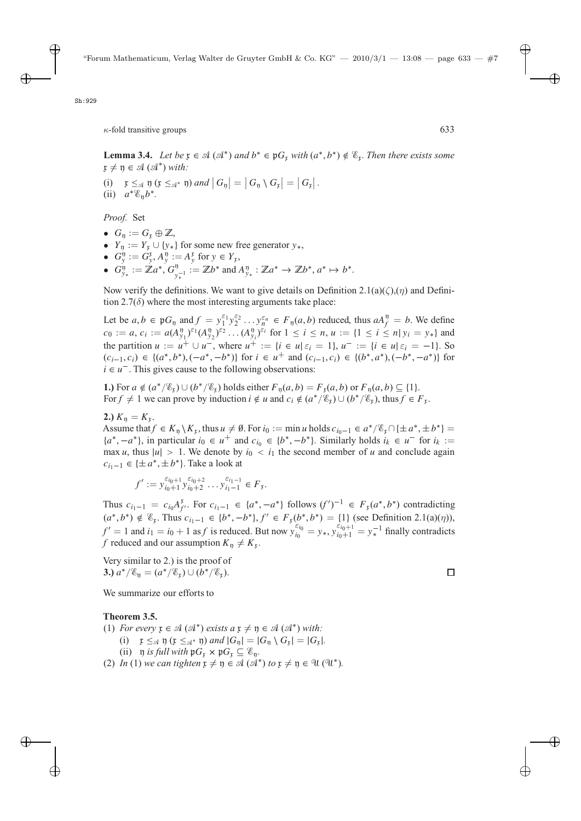**Lemma 3.4.** *Let be*  $\mathfrak{x} \in \mathcal{A}(\mathcal{A}^*)$  *and*  $b^* \in \mathfrak{p}G_{\mathfrak{x}}$  *with*  $(a^*,b^*) \notin \mathcal{E}_{\mathfrak{x}}$ *. Then there exists some*  $\mathfrak{x} \neq \mathfrak{y} \in \mathfrak{A} \left( \mathfrak{A}^* \right)$  *with:* 

(i)  $\mathfrak{x} \leq_{\mathfrak{A}} \mathfrak{y}$   $(\mathfrak{x} \leq_{\mathfrak{A}^*} \mathfrak{y})$  and  $|G_{\mathfrak{y}}| = |G_{\mathfrak{y}} \setminus G_{\mathfrak{x}}| = |G_{\mathfrak{x}}|$ .<br>(ii)  $a^{*} \mathscr{E}_{\sim} b^{*}$ . (ii)  $a^* \mathcal{E}_n b^*$ .

*Proof.* Set

- $G_n := G_n \oplus \mathbb{Z}$ ,
- $Y_{\mathfrak{y}} := Y_{\mathfrak{x}} \cup \{y_*\}$  for some new free generator  $y_*,$
- $G_y^0 := G_y^x, A_y^0 := A_y^x$  for  $y \in Y_x$ ,<br>
  $G_y^0 := \mathbb{Z}a^* \cdot G_y^0 \quad \mathbb{Z}b^*$  and
- $G_{y_*}^0 := \mathbb{Z}a^*, G_{y_*^{-1}}^0 := \mathbb{Z}b^*$  and  $A_{y_*}^0 : \mathbb{Z}a^* \to \mathbb{Z}b^*, a^* \mapsto b^*.$

Now verify the definitions. We want to give details on Definition 2.1(a)( $\zeta$ ),( $\eta$ ) and Definition 2.7 $(\delta)$  where the most interesting arguments take place:

Let be  $a, b \in \mathfrak{p}G_{\mathfrak{y}}$  and  $f = y_1^{\varepsilon_1}y_2^{\varepsilon_2} \dots y_n^{\varepsilon_n} \in F_{\mathfrak{y}}(a, b)$  reduced, thus  $aA_j^{\mathfrak{y}} = b$ . We define  $c_0 := a_1 c_1 \dots a_n (A^{\mathfrak{y}})^{\varepsilon_1} (A^{\mathfrak{y}})^{\varepsilon_2} \dots (A^{\mathfrak{y}})^{\varepsilon_i}$  for  $1 \le i \le n, u_i \dots 1$  $c_0 := a, c_i := a(A_{y_1}^{\mathfrak{p}})^{\varepsilon_1}(A_{y_2}^{\mathfrak{p}})^{\varepsilon_2} \dots (A_{y_i}^{\mathfrak{p}})^{\varepsilon_i}$  for  $1 \le i \le n, u := \{1 \le i \le n | y_i = y_*\}$  and the pertition  $u := u^+ + u^-$  where  $u^+ = \{i \in u | c_i = 1 | u^- = i \in u | c_i = -1 \}$ . the partition  $u := u^+ \cup u^-,$  where  $u^+ := \{i \in u | \varepsilon_i = 1\}$ ,  $u^- := \{i \in u | \varepsilon_i = -1\}$ . So  $(c_{i+1}, c_i) \in \{(a^*, b^*) \mid (-a^*, -b^*)\}$  for  $i \in u^+$  and  $(c_{i+1}, c_i) \in \{(b^*, a^*) \mid (-b^*, -a^*)\}$  for  $(c_{i-1}, c_i) \in \{(a^*, b^*), (-a^*, -b^*)\}$  for  $i \in u^+$  and  $(c_{i-1}, c_i) \in \{(b^*, a^*), (-b^*, -a^*)\}$  for  $i \in u^-$ . This gives cause to the following observations:

**1.)** For  $a \notin (a^*/\mathcal{E}_r) \cup (b^*/\mathcal{E}_r)$  holds either  $F_\eta(a, b) = F_r(a, b)$  or  $F_\eta(a, b) \subseteq \{1\}$ . For  $f \neq 1$  we can prove by induction  $i \notin u$  and  $c_i \notin (a^*/\mathscr{C}_r) \cup (b^*/\mathscr{C}_r)$ , thus  $f \in F_r$ .

**2.**)  $K_{\eta} = K_{\tau}$ .

Assume that  $f \in K_{\mathfrak{y}} \setminus K_{\mathfrak{x}}$ , thus  $u \neq \emptyset$ . For  $i_0 := \min u$  holds  $c_{i_0-1} \in a^*/\mathscr{E}_{\mathfrak{x}} \cap {\pm} a^*, \pm b^*$  =  ${a^*, -a^*}$ , in particular  $i_0 \in u^+$  and  $c_{i_0} \in {b^*, -b^*}$ . Similarly holds  $i_k \in u^-$  for  $i_k :=$ max u, thus  $|u| > 1$ . We denote by  $i_0 < i_1$  the second member of u and conclude again  $c_{i_1-1} \in \{\pm a^*, \pm b^*\}$ . Take a look at

$$
f' := y_{i_0+1}^{\varepsilon_{i_0+1}} y_{i_0+2}^{\varepsilon_{i_0+2}} \dots y_{i_1-1}^{\varepsilon_{i_1-1}} \in F_{\mathfrak{x}}.
$$

Thus  $c_{i_1-1} = c_{i_0} A_f^{\mathcal{F}}$ . For  $c_{i_1-1} \in \{a^*, -a^*\}$  follows  $(f')^{-1} \in F_{\mathfrak{x}}(a^*, b^*)$  contradicting<br>  $(e^{*} b^*) \notin \mathcal{F}$ . Thus,  $e^{*} = [b^* + b^*] \in F_{\mathfrak{x}}(b^*, b^*)$  (11 (see Definition 2.1(a)(a))  $(a^*, b^*) \notin \mathcal{E}_r$ . Thus  $c_{i_1-1} \in \{b^*, -b^*\}$ ,  $f' \in F_r(b^*, b^*) = \{1\}$  (see Definition 2.1(a)(*n*)),<br> $f' = 1$  and  $i = i_1 + 1$  as f is reduced. But now  $x^{\varepsilon_{i_0}} = y - x^{\varepsilon_{i_0+1}} = y - 1$  finally contradicted  $f' = 1$  and  $i_1 = i_0 + 1$  as *f* is reduced. But now  $y_{i_0}^{\varepsilon_{i_0}} = y_*, y_{i_0+1}^{\varepsilon_{i_0+1}} = y_*^{-1}$  finally contradicts f reduced and our assumption  $K_0 \neq K_0$ . *f* reduced and our assumption  $K_{\eta} \neq K_{\chi}$ .

Very similar to 2.) is the proof of **3.)**  $a^*/\mathscr{E}_p = (a^*/\mathscr{E}_r) \cup (b^*/\mathscr{E}_r).$ 

We summarize our efforts to

### **Theorem 3.5.**

(1) For every 
$$
\mathfrak{x} \in \mathcal{A}(\mathcal{A}^*)
$$
 exists  $a \mathfrak{x} \neq \mathfrak{y} \in \mathcal{A}(\mathcal{A}^*)$  with:

- (i)  $\mathfrak{x} \leq_{\mathfrak{A}} \mathfrak{y}$   $(\mathfrak{x} \leq_{\mathfrak{A}^*} \mathfrak{y})$  and  $|G_{\mathfrak{y}}| = |G_{\mathfrak{y}} \setminus G_{\mathfrak{x}}| = |G_{\mathfrak{x}}|$ .<br>(ii)  $\mathfrak{y}$  is full with  $\mathfrak{y}G \times \mathfrak{y}G \subset \mathcal{G}$ .
- (ii)  $\eta$  *is full with*  $\mathfrak{p} G_{\mathfrak{r}} \times \mathfrak{p} G_{\mathfrak{r}} \subseteq \mathscr{E}_{\mathfrak{n}}$ .
- (2) *In* (1) *we can tighten*  $\mathfrak{x} \neq \mathfrak{y} \in \mathcal{A}(\mathcal{A}^*)$  *to*  $\mathfrak{x} \neq \mathfrak{y} \in \mathcal{U}(\mathcal{U}^*)$ *.*

П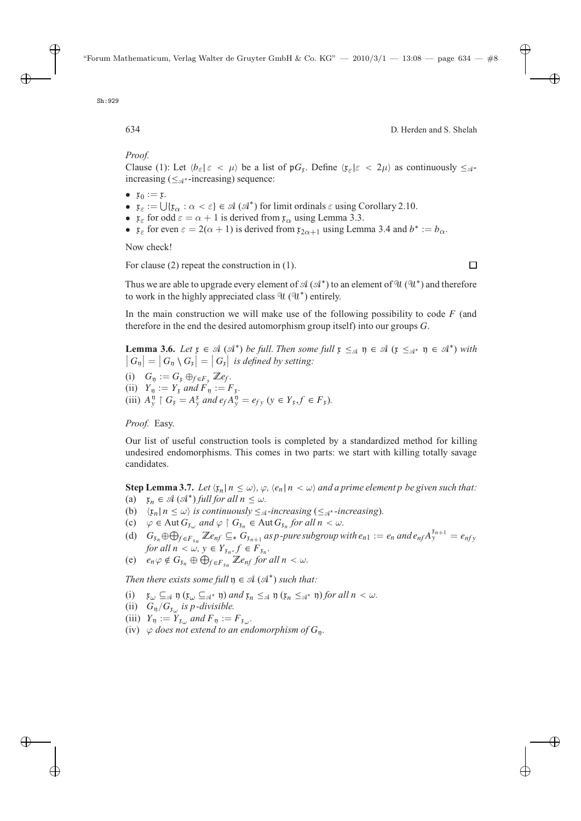*Proof.*

Clause (1): Let  $\langle b_{\varepsilon} | \varepsilon < \mu \rangle$  be a list of  $\mathfrak{p}G_{\mathfrak{x}}$ . Define  $\langle \mathfrak{x}_{\varepsilon} | \varepsilon < 2\mu \rangle$  as continuously  $\leq_{\mathfrak{A}}$ -<br>increasing  $(\leq_{\mathfrak{A}^*}$ -increasing) sequence: increasing ( $\leq_{\mathcal{A}^*}$ -increasing) sequence:

- $\mathfrak{x}_0 := \mathfrak{x}$ .
- $\mathfrak{x}_{\varepsilon} := \bigcup \{ \mathfrak{x}_{\alpha} : \alpha < \varepsilon \} \in \mathcal{A}(\mathcal{A}^*)$  for limit ordinals  $\varepsilon$  using Corollary 2.10.
- $\mathfrak{x}_{\varepsilon}$  for odd  $\varepsilon = \alpha + 1$  is derived from  $\mathfrak{x}_{\alpha}$  using Lemma 3.3.
- $\mathfrak{x}_{\varepsilon}$  for even  $\varepsilon = 2(\alpha + 1)$  is derived from  $\mathfrak{x}_{2\alpha+1}$  using Lemma 3.4 and  $b^* := b_{\alpha}$ .

Now check!

For clause (2) repeat the construction in (1).

Thus we are able to upgrade every element of  $\mathcal{A}(\mathcal{A}^*)$  to an element of  $\mathcal{U}(\mathcal{U}^*)$  and therefore to work in the highly appreciated class  $\mathcal{U}(\mathcal{U}^*)$  entirely.

In the main construction we will make use of the following possibility to code  $F$  (and therefore in the end the desired automorphism group itself) into our groups G.

**Lemma 3.6.** *Let*  $\mathfrak{x} \in \mathcal{A}(\mathcal{A}^*)$  *be full. Then some full*  $\mathfrak{x} \leq_{\mathcal{A}} \mathfrak{y} \in \mathcal{A}(\mathfrak{x} \leq_{\mathcal{A}^*} \mathfrak{y} \in \mathcal{A}^*)$  *with*  $|G_{\mathfrak{y}}| = |G_{\mathfrak{y}} \setminus G_{\mathfrak{x}}| = |G_{\mathfrak{x}}|$  is defined by setting:

(i)  $G_{\eta} := G_{\mathfrak{x}} \oplus_{f \in F_{\mathfrak{x}}} \mathbb{Z}e_f.$ (ii)  $Y_{\eta} := Y_{\mathfrak{x}}$  *and*  $F_{\eta} := F_{\mathfrak{x}}$ . (iii)  $A_y^{\eta} \upharpoonright G_{\mathfrak{x}} = A_{\mathfrak{y}}^{\mathfrak{x}}$  *and*  $e_f A_y^{\eta} = e_{f\mathfrak{y}}$  ( $\mathfrak{y} \in Y_{\mathfrak{x}}, f \in F_{\mathfrak{x}}$ ).

*Proof.* Easy.

Our list of useful construction tools is completed by a standardized method for killing undesired endomorphisms. This comes in two parts: we start with killing totally savage candidates.

**Step Lemma 3.7.** *Let*  $\langle x_n | n \le \omega \rangle$ ,  $\varphi$ ,  $\langle e_n | n < \omega \rangle$  and a prime element p be given such that:<br>(a)  $\mathbf{r} \in \mathcal{A}$  ( $\mathcal{A}^*$ ) full for all  $n < \omega$ 

- $(a)$  $\mathfrak{x}_n \in \mathcal{A}(\mathcal{A}^*)$  *full for all*  $n \leq \omega$ .
- (b)  $\langle \mathfrak{x}_n | n \leq \omega \rangle$  *is continuously*  $\leq_{\mathcal{A}}$ *-increasing* ( $\leq_{\mathcal{A}^*}$ *-increasing*).<br>(c)  $\langle \mathfrak{a} \in \text{Aut } G$  and  $\langle \mathfrak{a} \rangle$   $G$   $\in \text{Aut } G$  for all  $n \leq \omega$ .
- (c)  $\varphi \in \text{Aut } G_{x_{\omega}}$  and  $\varphi \upharpoonright G_{x_n} \in \text{Aut } G_{x_n}$  for all  $n < \omega$ .<br>
(d)  $G \circ \varphi \circ \nabla$   $\mathbb{Z} \circ \nabla G$  is an integrative subgroup
- (d)  $G_{\bar{r}_n} \oplus \bigoplus_{f \in F_{\bar{r}_n}} \mathbb{Z}e_{nf} \subseteq^* G_{\bar{r}_{n+1}}$  as p-pure subgroup with  $e_{n_1} := e_n$  and  $e_{nf} A_y^{\bar{r}_{n+1}} = e_{nf}$  for all  $n \leq u, v \in Y$   $f \in F$ *for all*  $n < \omega$ ,  $y \in Y_{x_n}, f \in F_{x_n}$ .
- (e)  $e_n \varphi \notin G_{\mathfrak{x}_n} \oplus \bigoplus_{f \in F_{\mathfrak{x}_n}} \mathbb{Z}e_{nf}$  *for all*  $n < \omega$ *.*

*Then there exists some full*  $\mathfrak{y} \in \mathcal{A}(\mathcal{A}^*)$  *such that:* 

- (i)  $x_\omega \subseteq \mathcal{A}$  y  $(x_\omega \subseteq \mathcal{A}^*)$  *and*  $x_n \leq \mathcal{A}$  y  $(x_n \leq \mathcal{A}^*)$  *for all*  $n < \omega$ *.*
- (ii)  $G_{\eta}/G_{x_{\omega}}$  *is p-divisible.*
- (iii)  $Y_{\eta} := Y_{x_{\omega}}$  *and*  $F_{\eta} := F_{x_{\omega}}$ .
- (iv)  $\varphi$  *does not extend to an endomorphism of*  $G_n$ .

 $\Box$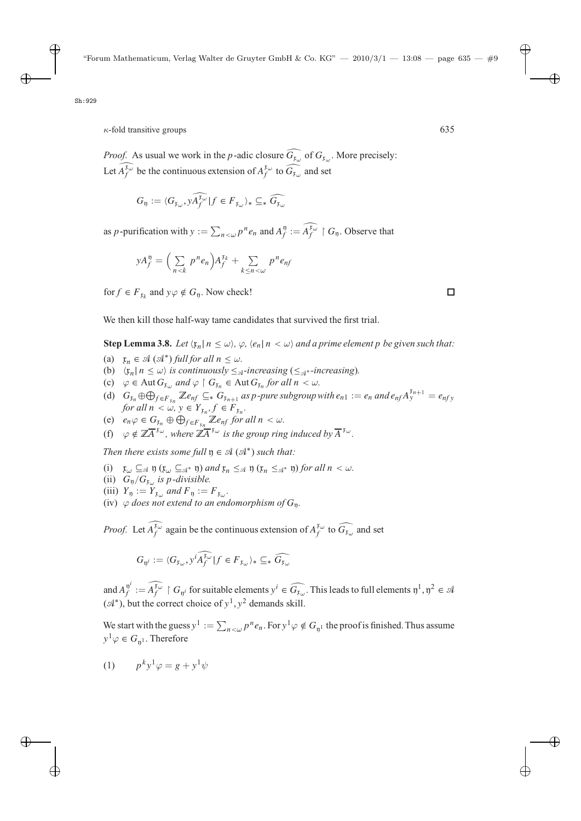*Proof.* As usual we work in the *p*-adic closure  $G_{x_\omega}$  of  $G_{x_\omega}$ . More precisely: Let  $A_f^{\mu_\omega}$  be the continuous extension of  $A_f^{\mu_\omega}$  to  $\widehat{G_{\mu_\omega}}$  and set

$$
G_{\mathfrak{y}} := \langle G_{\mathfrak{x}_{\omega}}, \widehat{\mathfrak{y}_{f}^{X_{\omega}}}\,|\, f \in F_{\mathfrak{x}_{\omega}}\rangle_* \subseteq_* \widehat{G_{\mathfrak{x}_{\omega}}}
$$

as *p*-purification with  $y := \sum_{n \leq \omega} p^n e_n$  and  $A_f^y := A_f^{x_{\omega}} \upharpoonright G_y$ . Observe that

$$
yA_f^{\mathfrak{v}} = \left(\sum_{n < k} p^n e_n\right) A_f^{\mathfrak{x}_k} + \sum_{k \leq n < \omega} p^n e_{nf}
$$

for  $f \in F_{x_k}$  and  $y \varphi \notin G_n$ . Now check!

We then kill those half-way tame candidates that survived the first trial.

**Step Lemma 3.8.** *Let*  $\langle x_n | n \leq \omega \rangle$ ,  $\varphi$ ,  $\langle e_n | n < \omega \rangle$  and a prime element p be given such that:

- (a)  $x_n \in \mathcal{A}(\mathcal{A}^*)$  *full for all*  $n \leq \omega$ .<br>(b)  $\langle r | n \leq \omega \rangle$  is continuously  $\leq \omega$ .
- (b)  $\langle x_n | n \leq \omega \rangle$  is continuously  $\leq_{\mathcal{A}}$ -increasing ( $\leq_{\mathcal{A}}$ <sup>\*</sup>-increasing).<br>(c)  $\langle \varphi \in \text{Aut } G_n \text{ and } \varphi \rangle$   $G_n \in \text{Aut } G_n$  for all  $n \leq \omega$ .
- (c)  $\varphi \in \text{Aut } G_{\mathfrak{x}_{\omega}}$  and  $\varphi \upharpoonright G_{\mathfrak{x}_n} \in \text{Aut } G_{\mathfrak{x}_n}$  for all  $n < \omega$ .<br>
(d)  $G \oplus \mathfrak{D} \longrightarrow \mathbb{Z}$  or  $G$  as a power subgroup.
- (d)  $G_{x_n} \oplus \bigoplus_{f \in F_{x_n}} \mathbb{Z}e_{nf} \subseteq_* G_{x_{n+1}}$  *as p-pure subgroup with*  $e_{n_1} := e_n$  *and*  $e_{nf} A_y^{x_{n+1}} = e_{nf}$  for all  $n \leq y \leq Y$   $f \in F$ *for all*  $n < \omega, y \in Y_{x_n}, f \in F_{x_n}$ .
- (e)  $e_n \varphi \in G_{x_n} \oplus \bigoplus_{f \in F_{x_n}} \mathbb{Z}e_{nf}$  *for all*  $n < \omega$ .<br>
(b)  $e_n \neq \overline{\mathbb{Z}^+}^{\mathbb{Z}^+}$  is the energy via
- (f)  $\varphi \notin \mathbb{Z} \overline{A}^{x_{\omega}}$ , where  $\mathbb{Z} \overline{A}^{x_{\omega}}$  *is the group ring induced by*  $\overline{A}^{x_{\omega}}$ *.*

*Then there exists some full*  $\eta \in \mathcal{A}(\mathcal{A}^*)$  *such that:* 

- (i)  $x_\omega \subseteq \mathcal{A}$  y  $(x_\omega \subseteq \mathcal{A}^*)$  *and*  $x_n \leq \mathcal{A}$  y  $(x_n \leq \mathcal{A}^*)$  *for all*  $n < \omega$ *.*
- (ii)  $G_{\eta}/G_{x_{\omega}}$  *is p-divisible.*
- (iii)  $Y_{\eta} := Y_{\mathfrak{x}_{\omega}}$  *and*  $F_{\eta} := F_{\mathfrak{x}_{\omega}}$ *.*
- (iv)  $\varphi$  *does not extend to an endomorphism of*  $G_n$ .

*Proof.* Let  $A_f^{\mu\omega}$  again be the continuous extension of  $A_f^{\mu\omega}$  to  $\widehat{G_{\mu\omega}}$  and set

$$
G_{\mathfrak{y}^i} := \langle G_{\mathfrak{x}_\omega}, y^i \widehat{A_f^{\mathfrak{x}_\omega}} | f \in F_{\mathfrak{x}_\omega} \rangle_* \subseteq_* \widehat{G_{\mathfrak{x}_\omega}}
$$

and  $A_f^{\mathfrak{y}^i} := A_f^{\mathfrak{x}_{\omega}} \upharpoonright G_{\mathfrak{y}^i}$  for suitable elements  $y^i \in \widehat{G_{\mathfrak{x}_{\omega}}}$ . This leads to full elements  $\mathfrak{y}^1, \mathfrak{y}^2 \in \mathcal{A}$  $({\mathcal{A}}^*)$ , but the correct choice of  $y^1, y^2$  demands skill.

We start with the guess  $y^1 := \sum_{n < \omega} p^n e_n$ . For  $y^1 \varphi \notin G_{\mathfrak{y}^1}$  the proof is finished. Thus assume  $y^1\varphi \in G_{n^1}$ . Therefore

$$
(1) \qquad p^k y^1 \varphi = g + y^1 \psi
$$

□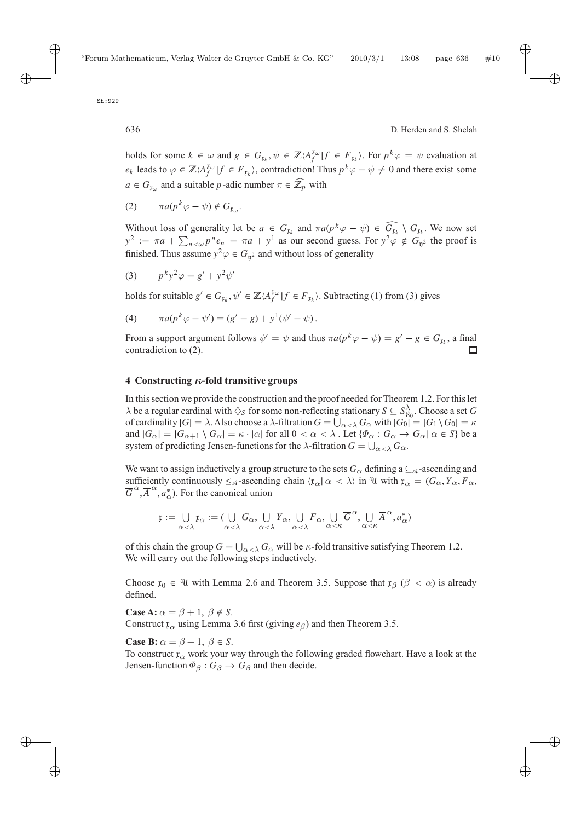holds for some  $k \in \omega$  and  $g \in G_{k_k}$ ,  $\psi \in \mathbb{Z}/A_j^{k_{\omega}}|f \in F_{k_k}$ . For  $p^k \varphi = \psi$  evaluation at  $e_k$  leads to  $\varphi \in \mathbb{Z} \langle A_i^{x_{\omega}} | f \in F_{x_k} \rangle$ , contradiction! Thus  $p^k \varphi - \psi \neq 0$  and there exist some  $a \in G_{\mathfrak{x}_{\omega}}$  and a suitable *p*-adic number  $\pi \in \mathbb{Z}_p$  with

$$
(2) \qquad \pi a(p^k \varphi - \psi) \notin G_{\mathfrak{x}_{\omega}}.
$$

Without loss of generality let be  $a \in G_{x_k}$  and  $\pi a(p^k \varphi - \psi) \in G_{x_k} \setminus G_{x_k}$ . We now set  $y^2 := \pi a + \sum_{k=0}^n a_k^k = \pi a + \nu^2$  as our second guess. For  $\nu^2 \varphi \notin G_{x_k}$  the proof is  $y^2 := \pi a + \sum_{n \leq \omega} p^n e_n = \pi a + y^1$  as our second guess. For  $y^2 \varphi \notin G_{\mathfrak{y}^2}$  the proof is finished. Thus assume  $y^2 \varphi \in G$  a and without loss of generality. finished. Thus assume  $y^2 \varphi \in G_{\mathfrak{n}^2}$  and without loss of generality

$$
(3) \qquad p^k y^2 \varphi = g' + y^2 \psi'
$$

holds for suitable  $g' \in G_{\mathfrak{x}_k}, \psi' \in \mathbb{Z} \langle A_f^{\mathfrak{x}_\omega} | f \in F_{\mathfrak{x}_k} \rangle$ . Subtracting (1) from (3) gives

(4) 
$$
\pi a(p^k \varphi - \psi') = (g' - g) + y^1(\psi' - \psi).
$$

From a support argument follows  $\psi' = \psi$  and thus  $\pi a(p^k \varphi - \psi) = g' - g \in G_{\mathfrak{x}_k}$ , a final contradiction to (2). contradiction to (2).

#### **4 Constructing** *κ***-fold transitive groups**

In this section we provide the construction and the proof needed for Theorem 1.2. For this let  $\lambda$  be a regular cardinal with  $\Diamond$ s for some non-reflecting stationary  $S \subseteq S^{\lambda}_{N_0}$ . Choose a set G<br>of cardinality  $|G| = \lambda$ . Also choose a  $\lambda$ -filtration  $G = \square \cup \{G, \lambda | G_0 | = |G \setminus G_0| = \kappa$ of cardinality  $|G| = \lambda$ . Also choose a  $\lambda$ -filtration  $G = \bigcup_{\alpha < \lambda} G_{\alpha}$  with  $|G_0| = |G_1 \setminus G_0| = \kappa$ <br>and  $|G_{\lambda}| = |G_{\lambda+1} \setminus G_{\lambda}| = \kappa$ .  $|\alpha|$  for all  $0 < \alpha < \lambda$ . Let  $\{\phi_{\lambda} : G_{\lambda} \to G_{\lambda} | \alpha \in S\}$  he a and  $|G_{\alpha}| = |G_{\alpha+1} \setminus G_{\alpha}| = \kappa \cdot |\alpha|$  for all  $0 < \alpha < \lambda$ . Let  $\{\Phi_{\alpha} : G_{\alpha} \to G_{\alpha} | \alpha \in S\}$  be a system of predicting Jensen-functions for the  $\lambda$ -filtration  $G = \bigcup_{\alpha < \lambda} G_{\alpha}$ .

We want to assign inductively a group structure to the sets  $G_{\alpha}$  defining a  $\subseteq_{\mathcal{A}}$ -ascending and sufficiently continuously  $\leq_{\mathcal{A}}$ -ascending chain  $\langle \mathfrak{x}_{\alpha} | \alpha \langle \lambda \rangle$  in U with  $\mathfrak{x}_{\alpha} = (G_{\alpha}, Y_{\alpha}, F_{\alpha}, \overline{G}^{\alpha} \mathfrak{a}^*)$ . For the canonical union  $\overline{G}^{\alpha}, \overline{A}^{\alpha}, a_{\alpha}^{*}$ ). For the canonical union

$$
\frak x:=\bigcup_{\alpha<\lambda}\frak x_\alpha:=(\bigcup_{\alpha<\lambda}G_\alpha,\bigcup_{\alpha<\lambda}Y_\alpha,\bigcup_{\alpha<\lambda}F_\alpha,\bigcup_{\alpha<\kappa}\overline G^\alpha,\bigcup_{\alpha<\kappa}\overline A^\alpha,a^*_\alpha)
$$

of this chain the group  $G = \bigcup_{\alpha < \lambda} G_{\alpha}$  will be  $\kappa$ -fold transitive satisfying Theorem 1.2.<br>We will carry out the following steps inductively We will carry out the following steps inductively.

Choose  $x_0 \in \mathcal{U}$  with Lemma 2.6 and Theorem 3.5. Suppose that  $x_\beta$  ( $\beta < \alpha$ ) is already defined.

**Case A:**  $\alpha = \beta + 1$ ,  $\beta \notin S$ .

Construct  $\mathfrak{r}_{\alpha}$  using Lemma 3.6 first (giving  $e_{\beta}$ ) and then Theorem 3.5.

**Case B:**  $\alpha = \beta + 1$ ,  $\beta \in S$ .

To construct  $x_\alpha$  work your way through the following graded flowchart. Have a look at the Jensen-function  $\Phi_{\beta}: G_{\beta} \to G_{\beta}$  and then decide.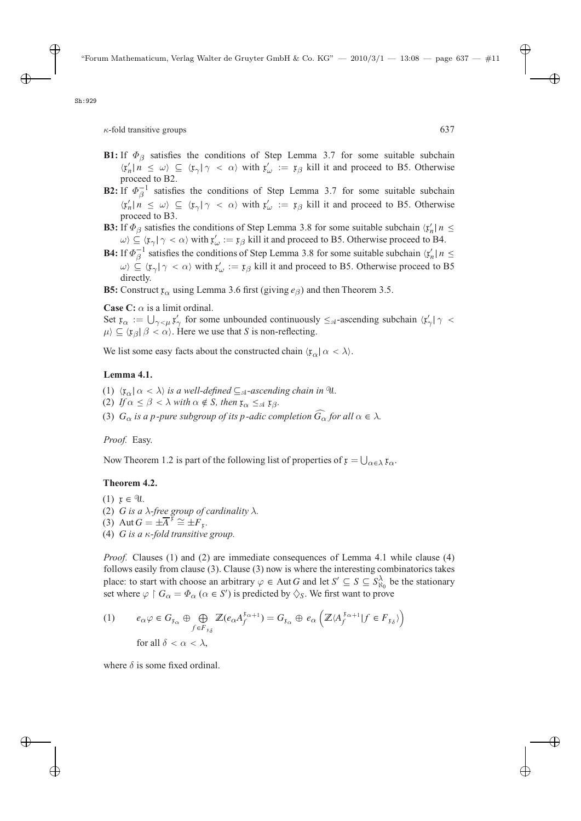- **B1:** If  $\Phi_{\beta}$  satisfies the conditions of Step Lemma 3.7 for some suitable subchain  $\langle x'_n \mid n \leq \omega \rangle \subseteq \langle x_{\gamma} \mid \gamma \langle \alpha \rangle$  with  $x'_{\omega} := x_{\beta}$  kill it and proceed to B5. Otherwise proceed to B2 proceed to B2.
- **B2:** If  $\Phi_{\beta}^{-1}$  satisfies the conditions of Step Lemma 3.7 for some suitable subchain  $\langle x'_n \mid n \leq \omega \rangle \subseteq \langle x_\gamma \mid \gamma < \alpha \rangle$  with  $x'_\omega := x_\beta$  kill it and proceed to B5. Otherwise proceed to B3.
- **B3:** If  $\Phi_{\beta}$  satisfies the conditions of Step Lemma 3.8 for some suitable subchain  $\langle x'_n | n \leq \omega \rangle \subset \langle x | x \rangle \subset \langle x | x \rangle$  with  $x' := x \circ k$  ill it and proceed to B5. Otherwise proceed to B4  $\omega \rangle \subseteq \langle x_{\gamma} | \gamma \langle \alpha \rangle$  with  $x'_{\omega} := x_{\beta}$  kill it and proceed to B5. Otherwise proceed to B4.
- **B4:** If  $\Phi_{\beta}^{-1}$  satisfies the conditions of Step Lemma 3.8 for some suitable subchain  $\langle x'_n | n \leq \omega \rangle$   $\langle x | \omega \leq \omega \rangle$  with  $x' := x$ . kill it and proceed to B5. Otherwise proceed to B5.  $\omega \subseteq \langle x_{\gamma} | \gamma < \alpha \rangle$  with  $x'_{\omega} := x_{\beta}$  kill it and proceed to B5. Otherwise proceed to B5 directly.
- **B5:** Construct  $\mathfrak{x}_{\alpha}$  using Lemma 3.6 first (giving  $e_{\beta}$ ) and then Theorem 3.5.

**Case C:**  $\alpha$  is a limit ordinal.

Set  $x_{\alpha} := \bigcup_{\gamma < \mu} x'_{\gamma}$  for some unbounded continuously  $\leq_{\mathcal{A}}$ -ascending subchain  $\langle x'_{\gamma} | \gamma \rangle$  $\mu \rangle \subseteq \langle \mathfrak{x}_{\beta} | \beta < \alpha \rangle$ . Here we use that S is non-reflecting.

We list some easy facts about the constructed chain  $\langle \mathfrak{x}_{\alpha} | \alpha < \lambda \rangle$ .

## **Lemma 4.1.**

- (1)  $\langle \mathfrak{x}_{\alpha} | \alpha \langle \alpha \rangle$  *is a well-defined*  $\subseteq_{\mathcal{A}}$ *-ascending chain in* U*.*
- (2) *If*  $\alpha \leq \beta < \lambda$  *with*  $\alpha \notin S$ *, then*  $\mathfrak{x}_{\alpha} \leq_{\mathfrak{A}} \mathfrak{x}_{\beta}$ *.*
- (3)  $G_{\alpha}$  *is a p-pure subgroup of its p-adic completion*  $G_{\alpha}$  *for all*  $\alpha \in \lambda$ *.*

*Proof.* Easy.

Now Theorem 1.2 is part of the following list of properties of  $\mathfrak{x} = \bigcup_{\alpha \in \lambda} \mathfrak{x}_{\alpha}$ .

## **Theorem 4.2.**

 $(1)$   $x \in \mathcal{U}$ . (2) G *is a*  $\lambda$ -free group of cardinality  $\lambda$ . (3) Aut  $G = \pm \overline{A}^{\mathfrak{x}} \cong \pm F_{\mathfrak{x}}$ . (4) G *is a* <sup>κ</sup>*-fold transitive group.*

*Proof.* Clauses (1) and (2) are immediate consequences of Lemma 4.1 while clause (4) follows easily from clause (3). Clause (3) now is where the interesting combinatorics takes place: to start with choose an arbitrary  $\varphi \in$  Aut G and let  $S' \subseteq S \subseteq S^{\lambda}_{\alpha_0}$  be the stationary set where  $\varphi \restriction G_\alpha = \Phi_\alpha$  ( $\alpha \in S'$ ) is predicted by  $\diamondsuit_S$ . We first want to prove

(1) 
$$
e_{\alpha} \varphi \in G_{\mathfrak{x}_{\alpha}} \oplus \bigoplus_{f \in F_{\mathfrak{x}_{\delta}}} \mathbb{Z}(e_{\alpha} A_f^{\mathfrak{x}_{\alpha+1}}) = G_{\mathfrak{x}_{\alpha}} \oplus e_{\alpha} \left( \mathbb{Z} \langle A_f^{\mathfrak{x}_{\alpha+1}} | f \in F_{\mathfrak{x}_{\delta}} \rangle \right)
$$
  
for all  $\delta < \alpha < \lambda$ ,

where  $\delta$  is some fixed ordinal.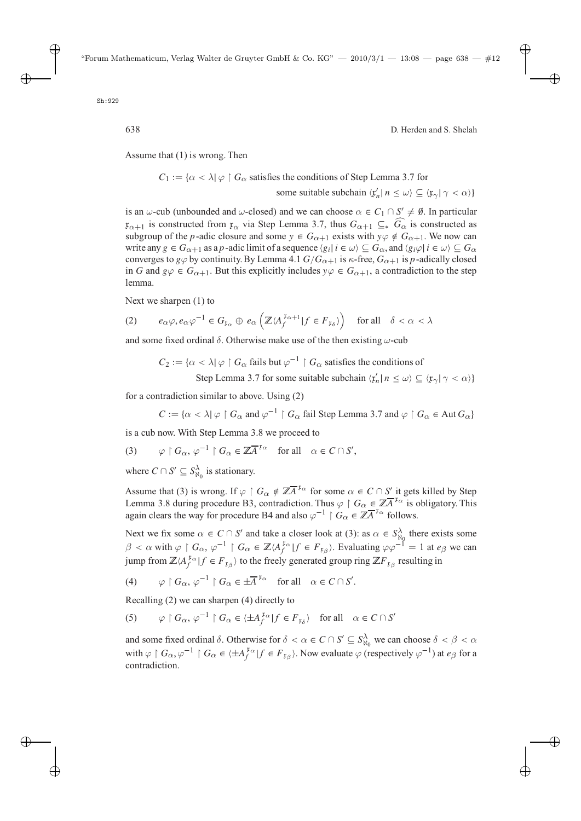Assume that (1) is wrong. Then

 $C_1 := \{ \alpha < \lambda \mid \varphi \restriction G_\alpha \text{ satisfies the conditions of Step Lemma 3.7 for } \alpha \in \mathbb{R} \}$ some suitable subchain  $\langle \mathbf{r}'_n | n \leq \omega \rangle \subseteq \langle \mathbf{r}_{\gamma} | \gamma < \alpha \rangle$ 

is an  $\omega$ -cub (unbounded and  $\omega$ -closed) and we can choose  $\alpha \in C_1 \cap S' \neq \emptyset$ . In particular  $x_{\alpha+1}$  is constructed from  $x_{\alpha}$  via Step Lemma 3.7, thus  $G_{\alpha+1} \subseteq_* G_{\alpha}$  is constructed as subgroup of the *n*-adic closure and some  $y \in G_{\alpha+1}$  exists with  $y_{\alpha} \notin G_{\alpha+1}$ . We now can subgroup of the p-adic closure and some  $y \in G_{\alpha+1}$  exists with  $y \varphi \notin G_{\alpha+1}$ . We now can write any  $g \in G_{\alpha+1}$  as a p-adic limit of a sequence  $\langle g_i | i \in \omega \rangle \subseteq G_\alpha$ , and  $\langle g_i \varphi | i \in \omega \rangle \subseteq G_\alpha$ <br>converges to  $g(\alpha)$  by continuity By Lemma 4.1  $G/G_{\alpha+1}$  is  $\kappa$ -free  $G_{\alpha+1}$  is n-adically closed converges to  $g\varphi$  by continuity. By Lemma 4.1  $G/G_{\alpha+1}$  is  $\kappa$ -free,  $G_{\alpha+1}$  is p-adically closed in G and  $g\varphi \in G_{\alpha+1}$ . But this explicitly includes  $y\varphi \in G_{\alpha+1}$ , a contradiction to the step lemma.

Next we sharpen (1) to

$$
(2) \qquad e_{\alpha}\varphi, e_{\alpha}\varphi^{-1} \in G_{\mathfrak{x}_{\alpha}} \oplus e_{\alpha}\left(\mathbb{Z}\langle A_{f}^{\mathfrak{x}_{\alpha+1}}|f \in F_{\mathfrak{x}_{\delta}}\rangle\right) \quad \text{for all} \quad \delta < \alpha < \lambda
$$

and some fixed ordinal  $\delta$ . Otherwise make use of the then existing  $\omega$ -cub

$$
C_2 := \{ \alpha < \lambda | \varphi \restriction G_\alpha \text{ fails but } \varphi^{-1} \restriction G_\alpha \text{ satisfies the conditions of}
$$

Step Lemma 3.7 for some suitable subchain  $\langle x'_n | n \le \omega \rangle \subseteq \langle x_\gamma | \gamma < \alpha \rangle$ 

for a contradiction similar to above. Using (2)

 $C := {\alpha < \lambda \mid \varphi \restriction G_{\alpha}}$  and  $\varphi^{-1} \restriction G_{\alpha}$  fail Step Lemma 3.7 and  $\varphi \restriction G_{\alpha} \in \text{Aut } G_{\alpha}$ 

is a cub now. With Step Lemma 3.8 we proceed to

(3)  $\varphi \upharpoonright G_{\alpha}, \varphi^{-1} \upharpoonright G_{\alpha} \in \mathbb{Z} \overline{A}^{\mathfrak{x}_{\alpha}} \text{ for all } \alpha \in C \cap S',$ 

where  $C \cap S' \subseteq S_{\aleph_0}^{\lambda}$  is stationary.

Assume that (3) is wrong. If  $\varphi \upharpoonright G_\alpha \notin \mathbb{Z}^{\overline{A}^T\alpha}$  for some  $\alpha \in C \cap S'$  it gets killed by Step I emma 3.8 during procedure B3, contradiction Thus  $\alpha \upharpoonright G \in \mathbb{Z}^{\overline{A}^T\alpha}$  is obligatory This Lemma 3.8 during procedure B3, contradiction. Thus  $\varphi \restriction G_\alpha \in \mathbb{Z}^{\overline{A}}^{\overline{x}_\alpha}$  is obligatory. This again clears the way for procedure B4 and also  $\varphi^{-1} \upharpoonright G_{\alpha} \in \mathbb{Z} \overline{A}^{\mathfrak{x}_{\alpha}}$  follows.

Next we fix some  $\alpha \in C \cap S'$  and take a closer look at (3): as  $\alpha \in S_{\alpha_0}^{\lambda}$  there exists some  $\beta$  $\beta < \alpha$  with  $\varphi \restriction G_\alpha$ ,  $\varphi^{-1} \restriction G_\alpha \in \mathbb{Z} \langle A_f^{\{x_\alpha\}} \rbrace f \in F_{\{x_\beta\}}$ . Evaluating  $\varphi \varphi^{-1} = 1$  at  $e_\beta$  we can  $\exists \alpha \in \mathbb{Z}$  to the first second agree sing  $\mathbb{Z}^r$ , applicating in jump from  $\mathbb{Z}\langle A_f^{x_\alpha} | f \in F_{x_\beta} \rangle$  to the freely generated group ring  $\mathbb{Z}F_{x_\beta}$  resulting in

(4) 
$$
\varphi \upharpoonright G_{\alpha}, \varphi^{-1} \upharpoonright G_{\alpha} \in \pm \overline{A}^{\mathfrak{x}_{\alpha}}
$$
 for all  $\alpha \in C \cap S'$ .

Recalling (2) we can sharpen (4) directly to

(5) 
$$
\varphi \upharpoonright G_{\alpha}, \varphi^{-1} \upharpoonright G_{\alpha} \in \langle \pm A_f^{\tau_{\alpha}} \upharpoonright f \in F_{\tau_{\delta}} \rangle \text{ for all } \alpha \in C \cap S'
$$

and some fixed ordinal  $\delta$ . Otherwise for  $\delta < \alpha \in C \cap S' \subseteq S_N^{\lambda_0}$  we can choose  $\delta < \beta < \alpha$ with  $\varphi \restriction G_\alpha$ ,  $\varphi^{-1} \restriction G_\alpha \in \langle \pm A_f^{x_\alpha} | f \in F_{x_\beta} \rangle$ . Now evaluate  $\varphi$  (respectively  $\varphi^{-1}$ ) at  $e_\beta$  for a contradiction contradiction.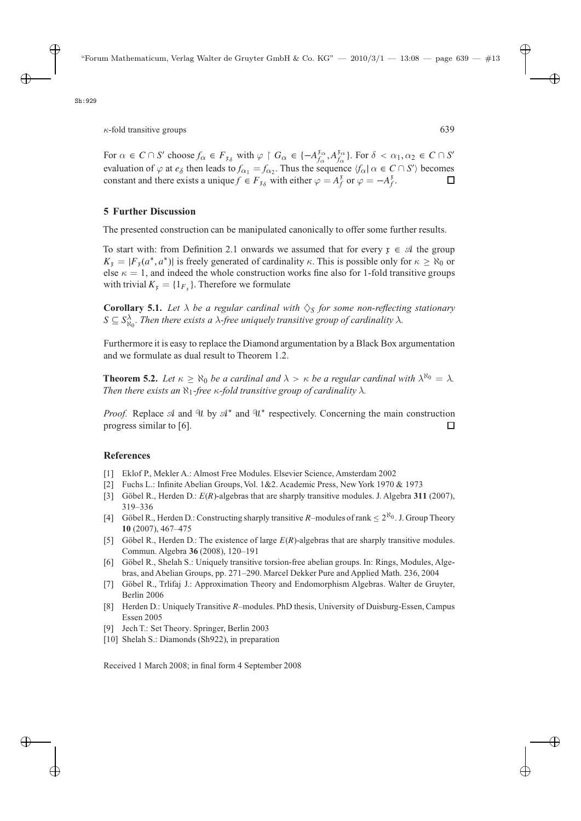For  $\alpha \in C \cap S'$  choose  $f_{\alpha} \in F_{\mathfrak{p}_{\delta}}$  with  $\varphi \upharpoonright G_{\alpha} \in \{-A_{f_{\alpha}}^{\mathfrak{x}}A_{f_{\alpha}}^{\mathfrak{x}}\}$ . For  $\delta < \alpha_1, \alpha_2 \in C \cap S'$ evaluation of  $\varphi$  at  $e_{\delta}$  then leads to  $f_{\alpha_1} = f_{\alpha_2}$ . Thus the sequence  $\langle f_{\alpha} | \alpha \in C \cap S' \rangle$  becomes constant and there exists a unique  $f \in F_{\alpha}$  with either  $\varphi = A^{\xi}$  or  $\varphi = -A^{\xi}$ . constant and there exists a unique  $f \in F_{\mathfrak{x}_{\delta}}$  with either  $\varphi = A_f^{\mathfrak{x}}$  or  $\varphi = -A_f^{\mathfrak{x}}$ .  $\Box$ 

## **5 Further Discussion**

The presented construction can be manipulated canonically to offer some further results.

To start with: from Definition 2.1 onwards we assumed that for every  $x \in A$  the group  $K_x = |F_x(a^*, a^*)|$  is freely generated of cardinality  $\kappa$ . This is possible only for  $\kappa \ge \aleph_0$  or else  $\kappa = 1$ , and indeed the whole construction works fine also for 1-fold transitive groups with trivial  $K_{x} = \{1_{F_{x}}\}\$ . Therefore we formulate

**Corollary 5.1.** Let  $\lambda$  be a regular cardinal with  $\Diamond$ <sub>S</sub> for some non-reflecting stationary  $S \subseteq S_{\aleph_0}^{\lambda}$ . Then there exists a  $\lambda$ -free uniquely transitive group of cardinality  $\lambda$ .

Furthermore it is easy to replace the Diamond argumentation by a Black Box argumentation and we formulate as dual result to Theorem 1.2.

**Theorem 5.2.** *Let*  $\kappa \ge \aleph_0$  *be a cardinal and*  $\lambda > \kappa$  *be a regular cardinal with*  $\lambda^{\aleph_0} = \lambda$ *. Then there exists an*  $\aleph_1$ *-free*  $\kappa$ *-fold transitive group of cardinality*  $\lambda$ *.* 

*Proof.* Replace  $\mathcal A$  and  $\mathcal U$  by  $\mathcal A^*$  and  $\mathcal U^*$  respectively. Concerning the main construction progress similar to [6]. progress similar to [6].

## **References**

- [1] Eklof P., Mekler A.: Almost Free Modules. Elsevier Science, Amsterdam 2002
- [2] Fuchs L.: Infinite Abelian Groups, Vol. 1&2. Academic Press, New York 1970 & 1973
- [3] Göbel R., Herden D.: E(R)-algebras that are sharply transitive modules. J. Algebra **<sup>311</sup>** (2007), 319–336
- [4] Göbel R., Herden D.: Constructing sharply transitive R–modules of rank  $\leq 2^{\aleph_0}$ . J. Group Theory **10** (2007), 467–475
- [5] Göbel R., Herden D.: The existence of large  $E(R)$ -algebras that are sharply transitive modules. Commun. Algebra **36** (2008), 120–191
- [6] Göbel R., Shelah S.: Uniquely transitive torsion-free abelian groups. In: Rings, Modules, Algebras, and Abelian Groups, pp. 271–290. Marcel Dekker Pure and Applied Math. 236, 2004
- [7] Göbel R., Trlifaj J.: Approximation Theory and Endomorphism Algebras. Walter de Gruyter, Berlin 2006
- [8] Herden D.: Uniquely Transitive R–modules. PhD thesis, University of Duisburg-Essen, Campus Essen 2005
- [9] Jech T.: Set Theory. Springer, Berlin 2003
- [10] Shelah S.: Diamonds (Sh922), in preparation

Received 1 March 2008; in final form 4 September 2008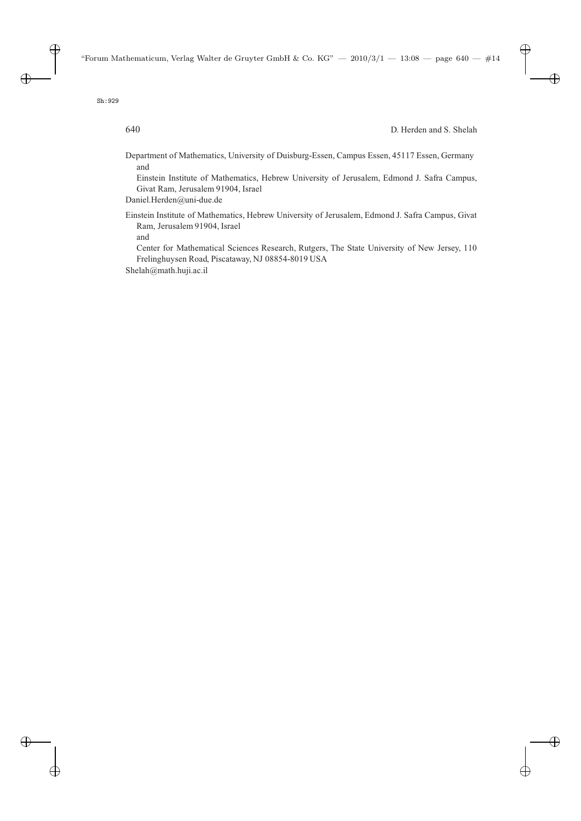Department of Mathematics, University of Duisburg-Essen, Campus Essen, 45117 Essen, Germany and

Einstein Institute of Mathematics, Hebrew University of Jerusalem, Edmond J. Safra Campus, Givat Ram, Jerusalem 91904, Israel

Daniel.Herden@uni-due.de

Einstein Institute of Mathematics, Hebrew University of Jerusalem, Edmond J. Safra Campus, Givat Ram, Jerusalem 91904, Israel

and

Center for Mathematical Sciences Research, Rutgers, The State University of New Jersey, 110 Frelinghuysen Road, Piscataway, NJ 08854-8019 USA

Shelah@math.huji.ac.il